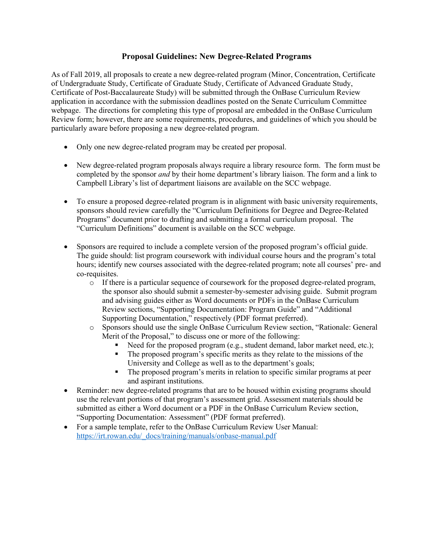# **Proposal Guidelines: New Degree-Related Programs**

As of Fall 2019, all proposals to create a new degree-related program (Minor, Concentration, Certificate of Undergraduate Study, Certificate of Graduate Study, Certificate of Advanced Graduate Study, Certificate of Post-Baccalaureate Study) will be submitted through the OnBase Curriculum Review application in accordance with the submission deadlines posted on the Senate Curriculum Committee webpage. The directions for completing this type of proposal are embedded in the OnBase Curriculum Review form; however, there are some requirements, procedures, and guidelines of which you should be particularly aware before proposing a new degree-related program.

- Only one new degree-related program may be created per proposal.
- New degree-related program proposals always require a library resource form. The form must be completed by the sponsor *and* by their home department's library liaison. The form and a link to Campbell Library's list of department liaisons are available on the SCC webpage.
- To ensure a proposed degree-related program is in alignment with basic university requirements, sponsors should review carefully the "Curriculum Definitions for Degree and Degree-Related Programs" document prior to drafting and submitting a formal curriculum proposal. The "Curriculum Definitions" document is available on the SCC webpage.
- Sponsors are required to include a complete version of the proposed program's official guide. The guide should: list program coursework with individual course hours and the program's total hours; identify new courses associated with the degree-related program; note all courses' pre- and co-requisites.
	- o If there is a particular sequence of coursework for the proposed degree-related program, the sponsor also should submit a semester-by-semester advising guide. Submit program and advising guides either as Word documents or PDFs in the OnBase Curriculum Review sections, "Supporting Documentation: Program Guide" and "Additional Supporting Documentation," respectively (PDF format preferred).
	- o Sponsors should use the single OnBase Curriculum Review section, "Rationale: General Merit of the Proposal," to discuss one or more of the following:
		- Need for the proposed program (e.g., student demand, labor market need, etc.);
		- The proposed program's specific merits as they relate to the missions of the University and College as well as to the department's goals;
		- The proposed program's merits in relation to specific similar programs at peer and aspirant institutions.
- Reminder: new degree-related programs that are to be housed within existing programs should use the relevant portions of that program's assessment grid. Assessment materials should be submitted as either a Word document or a PDF in the OnBase Curriculum Review section, "Supporting Documentation: Assessment" (PDF format preferred).
- For a sample template, refer to the OnBase Curriculum Review User Manual: https://irt.rowan.edu/\_docs/training/manuals/onbase-manual.pdf